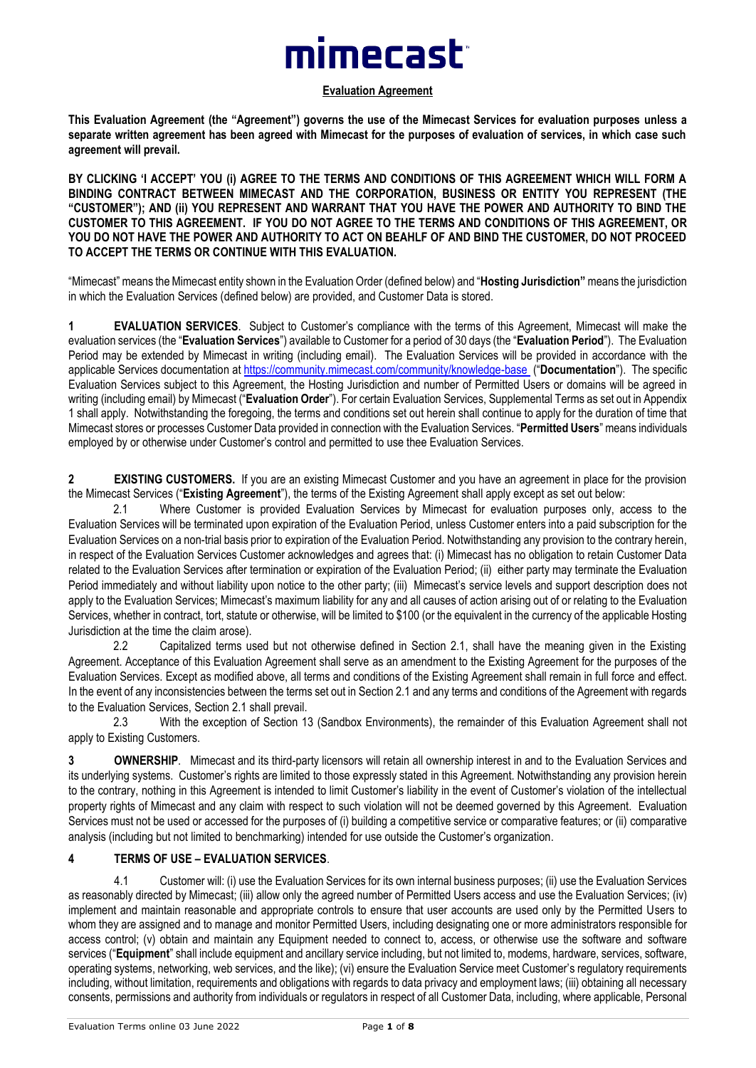# mimecast<sup>-</sup>

#### **Evaluation Agreement**

**This Evaluation Agreement (the "Agreement") governs the use of the Mimecast Services for evaluation purposes unless a separate written agreement has been agreed with Mimecast for the purposes of evaluation of services, in which case such agreement will prevail.**

**BY CLICKING 'I ACCEPT' YOU (i) AGREE TO THE TERMS AND CONDITIONS OF THIS AGREEMENT WHICH WILL FORM A BINDING CONTRACT BETWEEN MIMECAST AND THE CORPORATION, BUSINESS OR ENTITY YOU REPRESENT (THE "CUSTOMER"); AND (ii) YOU REPRESENT AND WARRANT THAT YOU HAVE THE POWER AND AUTHORITY TO BIND THE CUSTOMER TO THIS AGREEMENT. IF YOU DO NOT AGREE TO THE TERMS AND CONDITIONS OF THIS AGREEMENT, OR YOU DO NOT HAVE THE POWER AND AUTHORITY TO ACT ON BEAHLF OF AND BIND THE CUSTOMER, DO NOT PROCEED TO ACCEPT THE TERMS OR CONTINUE WITH THIS EVALUATION.**

"Mimecast" means the Mimecast entity shown in the Evaluation Order (defined below) and "**Hosting Jurisdiction"** means the jurisdiction in which the Evaluation Services (defined below) are provided, and Customer Data is stored.

**1 EVALUATION SERVICES**. Subject to Customer's compliance with the terms of this Agreement, Mimecast will make the evaluation services (the "**Evaluation Services**") available to Customer for a period of 30 days (the "**Evaluation Period**"). The Evaluation Period may be extended by Mimecast in writing (including email). The Evaluation Services will be provided in accordance with the applicable Services documentation at<https://community.mimecast.com/community/knowledge-base> ("**Documentation**"). The specific Evaluation Services subject to this Agreement, the Hosting Jurisdiction and number of Permitted Users or domains will be agreed in writing (including email) by Mimecast ("**Evaluation Order**"). For certain Evaluation Services, Supplemental Terms as set out in Appendix 1 shall apply. Notwithstanding the foregoing, the terms and conditions set out herein shall continue to apply for the duration of time that Mimecast stores or processes Customer Data provided in connection with the Evaluation Services. "**Permitted Users**" means individuals employed by or otherwise under Customer's control and permitted to use thee Evaluation Services.

**2 EXISTING CUSTOMERS.** If you are an existing Mimecast Customer and you have an agreement in place for the provision the Mimecast Services ("**Existing Agreement**"), the terms of the Existing Agreement shall apply except as set out below:

2.1 Where Customer is provided Evaluation Services by Mimecast for evaluation purposes only, access to the Evaluation Services will be terminated upon expiration of the Evaluation Period, unless Customer enters into a paid subscription for the Evaluation Services on a non-trial basis prior to expiration of the Evaluation Period. Notwithstanding any provision to the contrary herein, in respect of the Evaluation Services Customer acknowledges and agrees that: (i) Mimecast has no obligation to retain Customer Data related to the Evaluation Services after termination or expiration of the Evaluation Period; (ii) either party may terminate the Evaluation Period immediately and without liability upon notice to the other party; (iii) Mimecast's service levels and support description does not apply to the Evaluation Services; Mimecast's maximum liability for any and all causes of action arising out of or relating to the Evaluation Services, whether in contract, tort, statute or otherwise, will be limited to \$100 (or the equivalent in the currency of the applicable Hosting Jurisdiction at the time the claim arose).

2.2 Capitalized terms used but not otherwise defined in Section 2.1, shall have the meaning given in the Existing Agreement. Acceptance of this Evaluation Agreement shall serve as an amendment to the Existing Agreement for the purposes of the Evaluation Services. Except as modified above, all terms and conditions of the Existing Agreement shall remain in full force and effect. In the event of any inconsistencies between the terms set out in Section 2.1 and any terms and conditions of the Agreement with regards to the Evaluation Services, Section 2.1 shall prevail.

2.3 With the exception of Section 13 (Sandbox Environments), the remainder of this Evaluation Agreement shall not apply to Existing Customers.

**3 OWNERSHIP**. Mimecast and its third-party licensors will retain all ownership interest in and to the Evaluation Services and its underlying systems. Customer's rights are limited to those expressly stated in this Agreement. Notwithstanding any provision herein to the contrary, nothing in this Agreement is intended to limit Customer's liability in the event of Customer's violation of the intellectual property rights of Mimecast and any claim with respect to such violation will not be deemed governed by this Agreement. Evaluation Services must not be used or accessed for the purposes of (i) building a competitive service or comparative features; or (ii) comparative analysis (including but not limited to benchmarking) intended for use outside the Customer's organization.

### **4 TERMS OF USE – EVALUATION SERVICES**.

4.1 Customer will: (i) use the Evaluation Services for its own internal business purposes; (ii) use the Evaluation Services as reasonably directed by Mimecast; (iii) allow only the agreed number of Permitted Users access and use the Evaluation Services; (iv) implement and maintain reasonable and appropriate controls to ensure that user accounts are used only by the Permitted Users to whom they are assigned and to manage and monitor Permitted Users, including designating one or more administrators responsible for access control; (v) obtain and maintain any Equipment needed to connect to, access, or otherwise use the software and software services ("**Equipment**" shall include equipment and ancillary service including, but not limited to, modems, hardware, services, software, operating systems, networking, web services, and the like); (vi) ensure the Evaluation Service meet Customer's regulatory requirements including, without limitation, requirements and obligations with regards to data privacy and employment laws; (iii) obtaining all necessary consents, permissions and authority from individuals or regulators in respect of all Customer Data, including, where applicable, Personal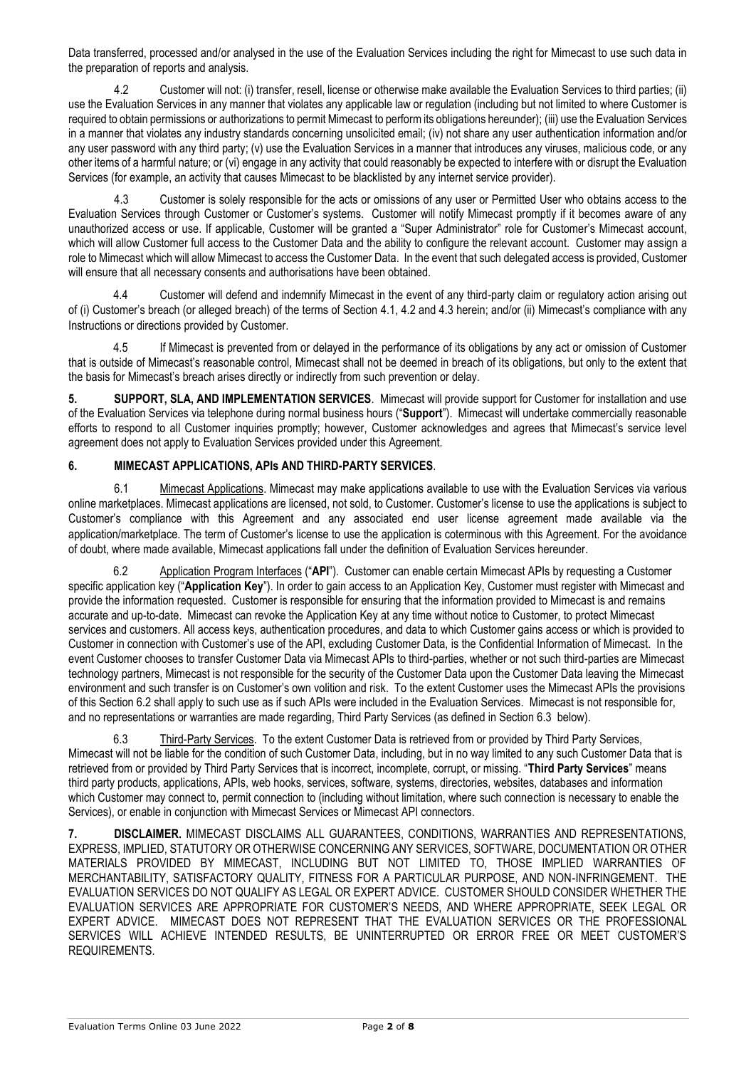Data transferred, processed and/or analysed in the use of the Evaluation Services including the right for Mimecast to use such data in the preparation of reports and analysis.

4.2 Customer will not: (i) transfer, resell, license or otherwise make available the Evaluation Services to third parties; (ii) use the Evaluation Services in any manner that violates any applicable law or regulation (including but not limited to where Customer is required to obtain permissions or authorizations to permit Mimecast to perform its obligations hereunder); (iii) use the Evaluation Services in a manner that violates any industry standards concerning unsolicited email; (iv) not share any user authentication information and/or any user password with any third party; (v) use the Evaluation Services in a manner that introduces any viruses, malicious code, or any other items of a harmful nature; or (vi) engage in any activity that could reasonably be expected to interfere with or disrupt the Evaluation Services (for example, an activity that causes Mimecast to be blacklisted by any internet service provider).

4.3 Customer is solely responsible for the acts or omissions of any user or Permitted User who obtains access to the Evaluation Services through Customer or Customer's systems. Customer will notify Mimecast promptly if it becomes aware of any unauthorized access or use. If applicable, Customer will be granted a "Super Administrator" role for Customer's Mimecast account, which will allow Customer full access to the Customer Data and the ability to configure the relevant account. Customer may assign a role to Mimecast which will allow Mimecast to access the Customer Data. In the event that such delegated access is provided, Customer will ensure that all necessary consents and authorisations have been obtained.

4.4 Customer will defend and indemnify Mimecast in the event of any third-party claim or regulatory action arising out of (i) Customer's breach (or alleged breach) of the terms of Section 4.1, 4.2 and 4.3 herein; and/or (ii) Mimecast's compliance with any Instructions or directions provided by Customer.

4.5 If Mimecast is prevented from or delayed in the performance of its obligations by any act or omission of Customer that is outside of Mimecast's reasonable control, Mimecast shall not be deemed in breach of its obligations, but only to the extent that the basis for Mimecast's breach arises directly or indirectly from such prevention or delay.

**5. SUPPORT, SLA, AND IMPLEMENTATION SERVICES**. Mimecast will provide support for Customer for installation and use of the Evaluation Services via telephone during normal business hours ("**Support**"). Mimecast will undertake commercially reasonable efforts to respond to all Customer inquiries promptly; however, Customer acknowledges and agrees that Mimecast's service level agreement does not apply to Evaluation Services provided under this Agreement.

## **6. MIMECAST APPLICATIONS, APIs AND THIRD-PARTY SERVICES**.

6.1 Mimecast Applications. Mimecast may make applications available to use with the Evaluation Services via various online marketplaces. Mimecast applications are licensed, not sold, to Customer. Customer's license to use the applications is subject to Customer's compliance with this Agreement and any associated end user license agreement made available via the application/marketplace. The term of Customer's license to use the application is coterminous with this Agreement. For the avoidance of doubt, where made available, Mimecast applications fall under the definition of Evaluation Services hereunder.

6.2 Application Program Interfaces ("**API**"). Customer can enable certain Mimecast APIs by requesting a Customer specific application key ("**Application Key**"). In order to gain access to an Application Key, Customer must register with Mimecast and provide the information requested. Customer is responsible for ensuring that the information provided to Mimecast is and remains accurate and up-to-date. Mimecast can revoke the Application Key at any time without notice to Customer, to protect Mimecast services and customers. All access keys, authentication procedures, and data to which Customer gains access or which is provided to Customer in connection with Customer's use of the API, excluding Customer Data, is the Confidential Information of Mimecast. In the event Customer chooses to transfer Customer Data via Mimecast APIs to third-parties, whether or not such third-parties are Mimecast technology partners, Mimecast is not responsible for the security of the Customer Data upon the Customer Data leaving the Mimecast environment and such transfer is on Customer's own volition and risk. To the extent Customer uses the Mimecast APIs the provisions of this Section 6.2 shall apply to such use as if such APIs were included in the Evaluation Services. Mimecast is not responsible for, and no representations or warranties are made regarding, Third Party Services (as defined in Section 6.3 below).

6.3 Third-Party Services. To the extent Customer Data is retrieved from or provided by Third Party Services, Mimecast will not be liable for the condition of such Customer Data, including, but in no way limited to any such Customer Data that is retrieved from or provided by Third Party Services that is incorrect, incomplete, corrupt, or missing. "**Third Party Services**" means third party products, applications, APIs, web hooks, services, software, systems, directories, websites, databases and information which Customer may connect to, permit connection to (including without limitation, where such connection is necessary to enable the Services), or enable in conjunction with Mimecast Services or Mimecast API connectors.

**7. DISCLAIMER.** MIMECAST DISCLAIMS ALL GUARANTEES, CONDITIONS, WARRANTIES AND REPRESENTATIONS, EXPRESS, IMPLIED, STATUTORY OR OTHERWISE CONCERNING ANY SERVICES, SOFTWARE, DOCUMENTATION OR OTHER MATERIALS PROVIDED BY MIMECAST, INCLUDING BUT NOT LIMITED TO, THOSE IMPLIED WARRANTIES OF MERCHANTABILITY, SATISFACTORY QUALITY, FITNESS FOR A PARTICULAR PURPOSE, AND NON-INFRINGEMENT. THE EVALUATION SERVICES DO NOT QUALIFY AS LEGAL OR EXPERT ADVICE. CUSTOMER SHOULD CONSIDER WHETHER THE EVALUATION SERVICES ARE APPROPRIATE FOR CUSTOMER'S NEEDS, AND WHERE APPROPRIATE, SEEK LEGAL OR EXPERT ADVICE. MIMECAST DOES NOT REPRESENT THAT THE EVALUATION SERVICES OR THE PROFESSIONAL SERVICES WILL ACHIEVE INTENDED RESULTS, BE UNINTERRUPTED OR ERROR FREE OR MEET CUSTOMER'S REQUIREMENTS.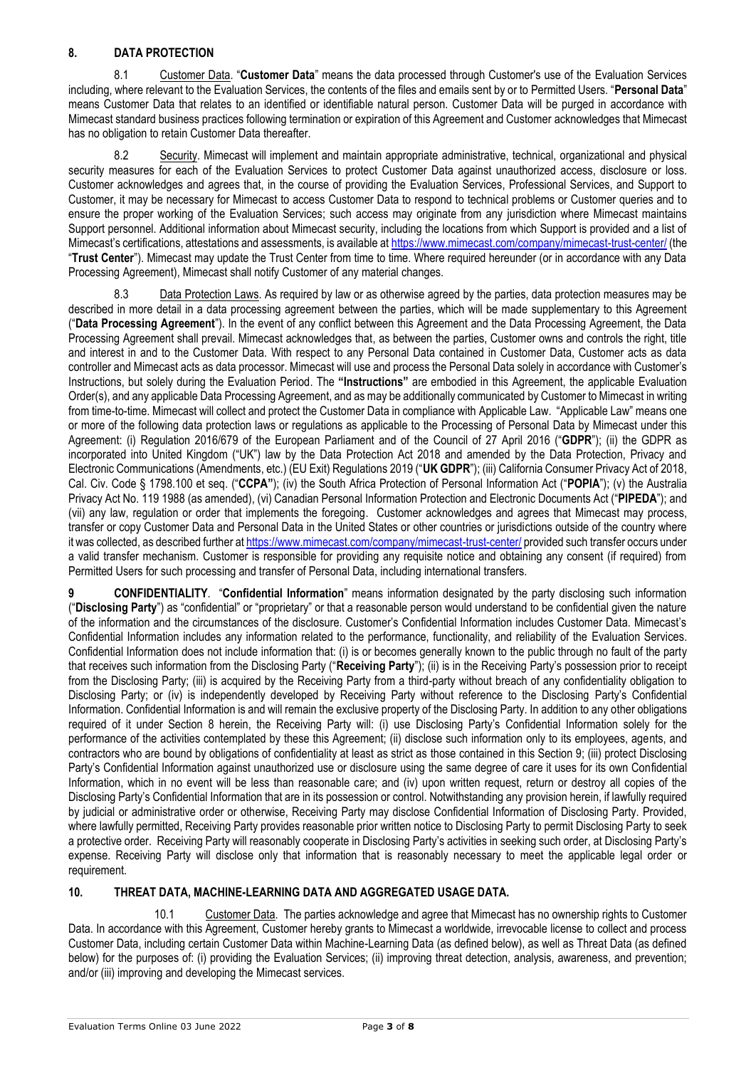## **8. DATA PROTECTION**

8.1 Customer Data. "**Customer Data**" means the data processed through Customer's use of the Evaluation Services including, where relevant to the Evaluation Services, the contents of the files and emails sent by or to Permitted Users. "**Personal Data**" means Customer Data that relates to an identified or identifiable natural person. Customer Data will be purged in accordance with Mimecast standard business practices following termination or expiration of this Agreement and Customer acknowledges that Mimecast has no obligation to retain Customer Data thereafter.

8.2 Security. Mimecast will implement and maintain appropriate administrative, technical, organizational and physical security measures for each of the Evaluation Services to protect Customer Data against unauthorized access, disclosure or loss. Customer acknowledges and agrees that, in the course of providing the Evaluation Services, Professional Services, and Support to Customer, it may be necessary for Mimecast to access Customer Data to respond to technical problems or Customer queries and to ensure the proper working of the Evaluation Services; such access may originate from any jurisdiction where Mimecast maintains Support personnel. Additional information about Mimecast security, including the locations from which Support is provided and a list of Mimecast's certifications, attestations and assessments, is available at <https://www.mimecast.com/company/mimecast-trust-center/> (the "**Trust Center**"). Mimecast may update the Trust Center from time to time. Where required hereunder (or in accordance with any Data Processing Agreement), Mimecast shall notify Customer of any material changes.

8.3 Data Protection Laws. As required by law or as otherwise agreed by the parties, data protection measures may be described in more detail in a data processing agreement between the parties, which will be made supplementary to this Agreement ("**Data Processing Agreement**"). In the event of any conflict between this Agreement and the Data Processing Agreement, the Data Processing Agreement shall prevail. Mimecast acknowledges that, as between the parties, Customer owns and controls the right, title and interest in and to the Customer Data. With respect to any Personal Data contained in Customer Data, Customer acts as data controller and Mimecast acts as data processor. Mimecast will use and process the Personal Data solely in accordance with Customer's Instructions, but solely during the Evaluation Period. The **"Instructions"** are embodied in this Agreement, the applicable Evaluation Order(s), and any applicable Data Processing Agreement, and as may be additionally communicated by Customer to Mimecast in writing from time-to-time. Mimecast will collect and protect the Customer Data in compliance with Applicable Law. "Applicable Law" means one or more of the following data protection laws or regulations as applicable to the Processing of Personal Data by Mimecast under this Agreement: (i) Regulation 2016/679 of the European Parliament and of the Council of 27 April 2016 ("**GDPR**"); (ii) the GDPR as incorporated into United Kingdom ("UK") law by the Data Protection Act 2018 and amended by the Data Protection, Privacy and Electronic Communications (Amendments, etc.) (EU Exit) Regulations 2019 ("**UK GDPR**"); (iii) California Consumer Privacy Act of 2018, Cal. Civ. Code § 1798.100 et seq. ("**CCPA"**); (iv) the South Africa Protection of Personal Information Act ("**POPIA**"); (v) the Australia Privacy Act No. 119 1988 (as amended), (vi) Canadian Personal Information Protection and Electronic Documents Act ("**PIPEDA**"); and (vii) any law, regulation or order that implements the foregoing. Customer acknowledges and agrees that Mimecast may process, transfer or copy Customer Data and Personal Data in the United States or other countries or jurisdictions outside of the country where it was collected, as described further a[t https://www.mimecast.com/company/mimecast-trust-center/](https://www.mimecast.com/company/mimecast-trust-center/) provided such transfer occurs under a valid transfer mechanism. Customer is responsible for providing any requisite notice and obtaining any consent (if required) from Permitted Users for such processing and transfer of Personal Data, including international transfers.

**9 CONFIDENTIALITY**. "**Confidential Information**" means information designated by the party disclosing such information ("**Disclosing Party**") as "confidential" or "proprietary" or that a reasonable person would understand to be confidential given the nature of the information and the circumstances of the disclosure. Customer's Confidential Information includes Customer Data. Mimecast's Confidential Information includes any information related to the performance, functionality, and reliability of the Evaluation Services. Confidential Information does not include information that: (i) is or becomes generally known to the public through no fault of the party that receives such information from the Disclosing Party ("**Receiving Party**"); (ii) is in the Receiving Party's possession prior to receipt from the Disclosing Party; (iii) is acquired by the Receiving Party from a third-party without breach of any confidentiality obligation to Disclosing Party; or (iv) is independently developed by Receiving Party without reference to the Disclosing Party's Confidential Information. Confidential Information is and will remain the exclusive property of the Disclosing Party. In addition to any other obligations required of it under Section 8 herein, the Receiving Party will: (i) use Disclosing Party's Confidential Information solely for the performance of the activities contemplated by these this Agreement; (ii) disclose such information only to its employees, agents, and contractors who are bound by obligations of confidentiality at least as strict as those contained in this Section 9; (iii) protect Disclosing Party's Confidential Information against unauthorized use or disclosure using the same degree of care it uses for its own Confidential Information, which in no event will be less than reasonable care; and (iv) upon written request, return or destroy all copies of the Disclosing Party's Confidential Information that are in its possession or control. Notwithstanding any provision herein, if lawfully required by judicial or administrative order or otherwise, Receiving Party may disclose Confidential Information of Disclosing Party. Provided, where lawfully permitted, Receiving Party provides reasonable prior written notice to Disclosing Party to permit Disclosing Party to seek a protective order. Receiving Party will reasonably cooperate in Disclosing Party's activities in seeking such order, at Disclosing Party's expense. Receiving Party will disclose only that information that is reasonably necessary to meet the applicable legal order or requirement.

### **10. THREAT DATA, MACHINE-LEARNING DATA AND AGGREGATED USAGE DATA.**

10.1 Customer Data. The parties acknowledge and agree that Mimecast has no ownership rights to Customer Data. In accordance with this Agreement, Customer hereby grants to Mimecast a worldwide, irrevocable license to collect and process Customer Data, including certain Customer Data within Machine-Learning Data (as defined below), as well as Threat Data (as defined below) for the purposes of: (i) providing the Evaluation Services; (ii) improving threat detection, analysis, awareness, and prevention; and/or (iii) improving and developing the Mimecast services.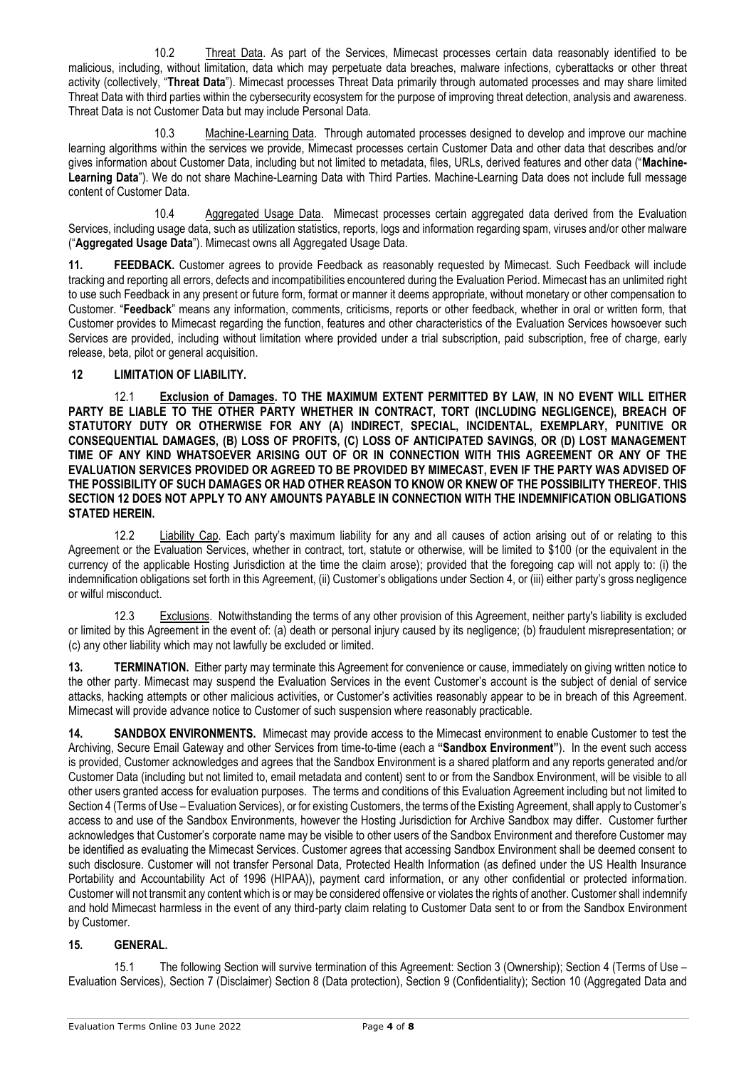10.2 Threat Data. As part of the Services, Mimecast processes certain data reasonably identified to be malicious, including, without limitation, data which may perpetuate data breaches, malware infections, cyberattacks or other threat activity (collectively, "**Threat Data**"). Mimecast processes Threat Data primarily through automated processes and may share limited Threat Data with third parties within the cybersecurity ecosystem for the purpose of improving threat detection, analysis and awareness. Threat Data is not Customer Data but may include Personal Data.

10.3 Machine-Learning Data. Through automated processes designed to develop and improve our machine learning algorithms within the services we provide, Mimecast processes certain Customer Data and other data that describes and/or gives information about Customer Data, including but not limited to metadata, files, URLs, derived features and other data ("**Machine-Learning Data**"). We do not share Machine-Learning Data with Third Parties. Machine-Learning Data does not include full message content of Customer Data.

10.4 Aggregated Usage Data. Mimecast processes certain aggregated data derived from the Evaluation Services, including usage data, such as utilization statistics, reports, logs and information regarding spam, viruses and/or other malware ("**Aggregated Usage Data**"). Mimecast owns all Aggregated Usage Data.

**11. FEEDBACK.** Customer agrees to provide Feedback as reasonably requested by Mimecast. Such Feedback will include tracking and reporting all errors, defects and incompatibilities encountered during the Evaluation Period. Mimecast has an unlimited right to use such Feedback in any present or future form, format or manner it deems appropriate, without monetary or other compensation to Customer. "**Feedback**" means any information, comments, criticisms, reports or other feedback, whether in oral or written form, that Customer provides to Mimecast regarding the function, features and other characteristics of the Evaluation Services howsoever such Services are provided, including without limitation where provided under a trial subscription, paid subscription, free of charge, early release, beta, pilot or general acquisition.

## **12 LIMITATION OF LIABILITY.**

12.1 **Exclusion of Damages. TO THE MAXIMUM EXTENT PERMITTED BY LAW, IN NO EVENT WILL EITHER PARTY BE LIABLE TO THE OTHER PARTY WHETHER IN CONTRACT, TORT (INCLUDING NEGLIGENCE), BREACH OF STATUTORY DUTY OR OTHERWISE FOR ANY (A) INDIRECT, SPECIAL, INCIDENTAL, EXEMPLARY, PUNITIVE OR CONSEQUENTIAL DAMAGES, (B) LOSS OF PROFITS, (C) LOSS OF ANTICIPATED SAVINGS, OR (D) LOST MANAGEMENT TIME OF ANY KIND WHATSOEVER ARISING OUT OF OR IN CONNECTION WITH THIS AGREEMENT OR ANY OF THE EVALUATION SERVICES PROVIDED OR AGREED TO BE PROVIDED BY MIMECAST, EVEN IF THE PARTY WAS ADVISED OF THE POSSIBILITY OF SUCH DAMAGES OR HAD OTHER REASON TO KNOW OR KNEW OF THE POSSIBILITY THEREOF. THIS SECTION 12 DOES NOT APPLY TO ANY AMOUNTS PAYABLE IN CONNECTION WITH THE INDEMNIFICATION OBLIGATIONS STATED HEREIN.** 

12.2 Liability Cap. Each party's maximum liability for any and all causes of action arising out of or relating to this Agreement or the Evaluation Services, whether in contract, tort, statute or otherwise, will be limited to \$100 (or the equivalent in the currency of the applicable Hosting Jurisdiction at the time the claim arose); provided that the foregoing cap will not apply to: (i) the indemnification obligations set forth in this Agreement, (ii) Customer's obligations under Section 4, or (iii) either party's gross negligence or wilful misconduct.

12.3 Exclusions. Notwithstanding the terms of any other provision of this Agreement, neither party's liability is excluded or limited by this Agreement in the event of: (a) death or personal injury caused by its negligence; (b) fraudulent misrepresentation; or (c) any other liability which may not lawfully be excluded or limited.

**13. TERMINATION.** Either party may terminate this Agreement for convenience or cause, immediately on giving written notice to the other party. Mimecast may suspend the Evaluation Services in the event Customer's account is the subject of denial of service attacks, hacking attempts or other malicious activities, or Customer's activities reasonably appear to be in breach of this Agreement. Mimecast will provide advance notice to Customer of such suspension where reasonably practicable.

**14. SANDBOX ENVIRONMENTS.** Mimecast may provide access to the Mimecast environment to enable Customer to test the Archiving, Secure Email Gateway and other Services from time-to-time (each a **"Sandbox Environment"**). In the event such access is provided, Customer acknowledges and agrees that the Sandbox Environment is a shared platform and any reports generated and/or Customer Data (including but not limited to, email metadata and content) sent to or from the Sandbox Environment, will be visible to all other users granted access for evaluation purposes. The terms and conditions of this Evaluation Agreement including but not limited to Section 4 (Terms of Use – Evaluation Services), or for existing Customers, the terms of the Existing Agreement, shall apply to Customer's access to and use of the Sandbox Environments, however the Hosting Jurisdiction for Archive Sandbox may differ. Customer further acknowledges that Customer's corporate name may be visible to other users of the Sandbox Environment and therefore Customer may be identified as evaluating the Mimecast Services. Customer agrees that accessing Sandbox Environment shall be deemed consent to such disclosure. Customer will not transfer Personal Data, Protected Health Information (as defined under the US Health Insurance Portability and Accountability Act of 1996 (HIPAA)), payment card information, or any other confidential or protected information. Customer will not transmit any content which is or may be considered offensive or violates the rights of another. Customer shall indemnify and hold Mimecast harmless in the event of any third-party claim relating to Customer Data sent to or from the Sandbox Environment by Customer.

## **15. GENERAL.**

15.1 The following Section will survive termination of this Agreement: Section 3 (Ownership); Section 4 (Terms of Use – Evaluation Services), Section 7 (Disclaimer) Section 8 (Data protection), Section 9 (Confidentiality); Section 10 (Aggregated Data and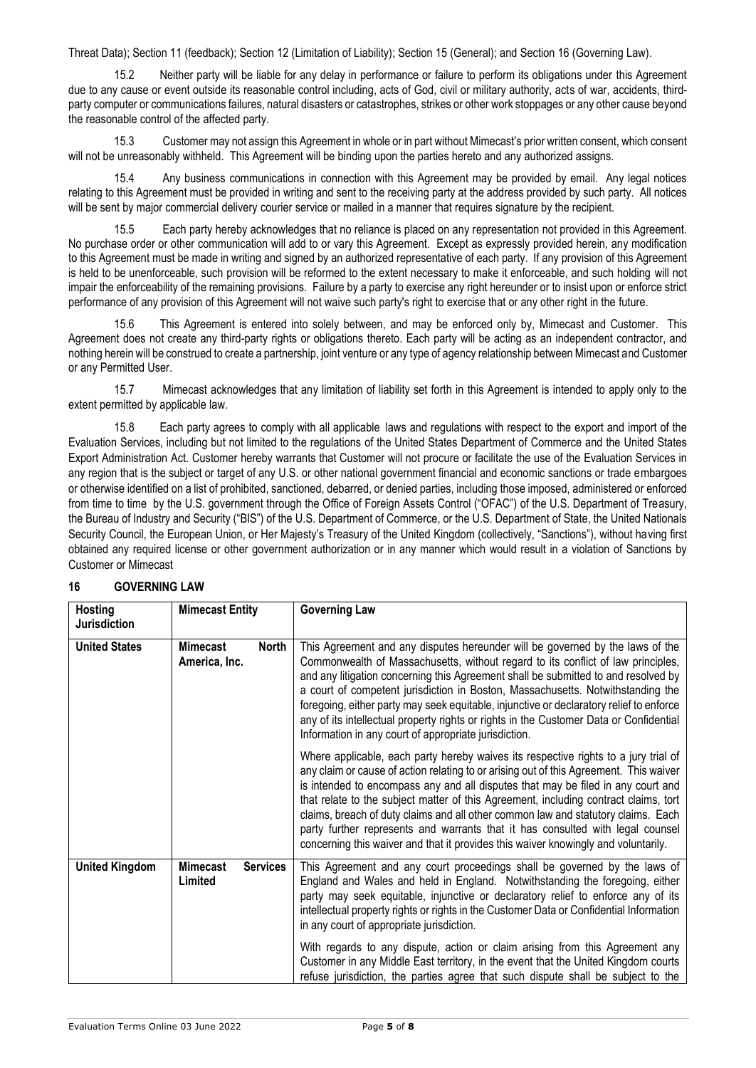Threat Data); Section 11 (feedback); Section 12 (Limitation of Liability); Section 15 (General); and Section 16 (Governing Law).

15.2 Neither party will be liable for any delay in performance or failure to perform its obligations under this Agreement due to any cause or event outside its reasonable control including, acts of God, civil or military authority, acts of war, accidents, thirdparty computer or communications failures, natural disasters or catastrophes, strikes or other work stoppages or any other cause beyond the reasonable control of the affected party.

15.3 Customer may not assign this Agreement in whole or in part without Mimecast's prior written consent, which consent will not be unreasonably withheld. This Agreement will be binding upon the parties hereto and any authorized assigns.

15.4 Any business communications in connection with this Agreement may be provided by email. Any legal notices relating to this Agreement must be provided in writing and sent to the receiving party at the address provided by such party. All notices will be sent by major commercial delivery courier service or mailed in a manner that requires signature by the recipient.

15.5 Each party hereby acknowledges that no reliance is placed on any representation not provided in this Agreement. No purchase order or other communication will add to or vary this Agreement. Except as expressly provided herein, any modification to this Agreement must be made in writing and signed by an authorized representative of each party. If any provision of this Agreement is held to be unenforceable, such provision will be reformed to the extent necessary to make it enforceable, and such holding will not impair the enforceability of the remaining provisions. Failure by a party to exercise any right hereunder or to insist upon or enforce strict performance of any provision of this Agreement will not waive such party's right to exercise that or any other right in the future.

15.6 This Agreement is entered into solely between, and may be enforced only by, Mimecast and Customer. This Agreement does not create any third-party rights or obligations thereto. Each party will be acting as an independent contractor, and nothing herein will be construed to create a partnership, joint venture or any type of agency relationship between Mimecast and Customer or any Permitted User.

15.7 Mimecast acknowledges that any limitation of liability set forth in this Agreement is intended to apply only to the extent permitted by applicable law.

15.8 Each party agrees to comply with all applicable laws and regulations with respect to the export and import of the Evaluation Services, including but not limited to the regulations of the United States Department of Commerce and the United States Export Administration Act. Customer hereby warrants that Customer will not procure or facilitate the use of the Evaluation Services in any region that is the subject or target of any U.S. or other national government financial and economic sanctions or trade embargoes or otherwise identified on a list of prohibited, sanctioned, debarred, or denied parties, including those imposed, administered or enforced from time to time by the U.S. government through the Office of Foreign Assets Control ("OFAC") of the U.S. Department of Treasury, the Bureau of Industry and Security ("BIS") of the U.S. Department of Commerce, or the U.S. Department of State, the United Nationals Security Council, the European Union, or Her Majesty's Treasury of the United Kingdom (collectively, "Sanctions"), without having first obtained any required license or other government authorization or in any manner which would result in a violation of Sanctions by Customer or Mimecast

| <b>Hosting</b><br><b>Jurisdiction</b> | <b>Mimecast Entity</b>           |                 | <b>Governing Law</b>                                                                                                                                                                                                                                                                                                                                                                                                                                                                                                                                                                                                   |
|---------------------------------------|----------------------------------|-----------------|------------------------------------------------------------------------------------------------------------------------------------------------------------------------------------------------------------------------------------------------------------------------------------------------------------------------------------------------------------------------------------------------------------------------------------------------------------------------------------------------------------------------------------------------------------------------------------------------------------------------|
| <b>United States</b>                  | <b>Mimecast</b><br>America, Inc. | North           | This Agreement and any disputes hereunder will be governed by the laws of the<br>Commonwealth of Massachusetts, without regard to its conflict of law principles,<br>and any litigation concerning this Agreement shall be submitted to and resolved by<br>a court of competent jurisdiction in Boston, Massachusetts. Notwithstanding the<br>foregoing, either party may seek equitable, injunctive or declaratory relief to enforce<br>any of its intellectual property rights or rights in the Customer Data or Confidential<br>Information in any court of appropriate jurisdiction.                               |
|                                       |                                  |                 | Where applicable, each party hereby waives its respective rights to a jury trial of<br>any claim or cause of action relating to or arising out of this Agreement. This waiver<br>is intended to encompass any and all disputes that may be filed in any court and<br>that relate to the subject matter of this Agreement, including contract claims, tort<br>claims, breach of duty claims and all other common law and statutory claims. Each<br>party further represents and warrants that it has consulted with legal counsel<br>concerning this waiver and that it provides this waiver knowingly and voluntarily. |
| <b>United Kingdom</b>                 | <b>Mimecast</b><br>Limited       | <b>Services</b> | This Agreement and any court proceedings shall be governed by the laws of<br>England and Wales and held in England. Notwithstanding the foregoing, either<br>party may seek equitable, injunctive or declaratory relief to enforce any of its<br>intellectual property rights or rights in the Customer Data or Confidential Information<br>in any court of appropriate jurisdiction.                                                                                                                                                                                                                                  |
|                                       |                                  |                 | With regards to any dispute, action or claim arising from this Agreement any<br>Customer in any Middle East territory, in the event that the United Kingdom courts<br>refuse jurisdiction, the parties agree that such dispute shall be subject to the                                                                                                                                                                                                                                                                                                                                                                 |

### **16 GOVERNING LAW**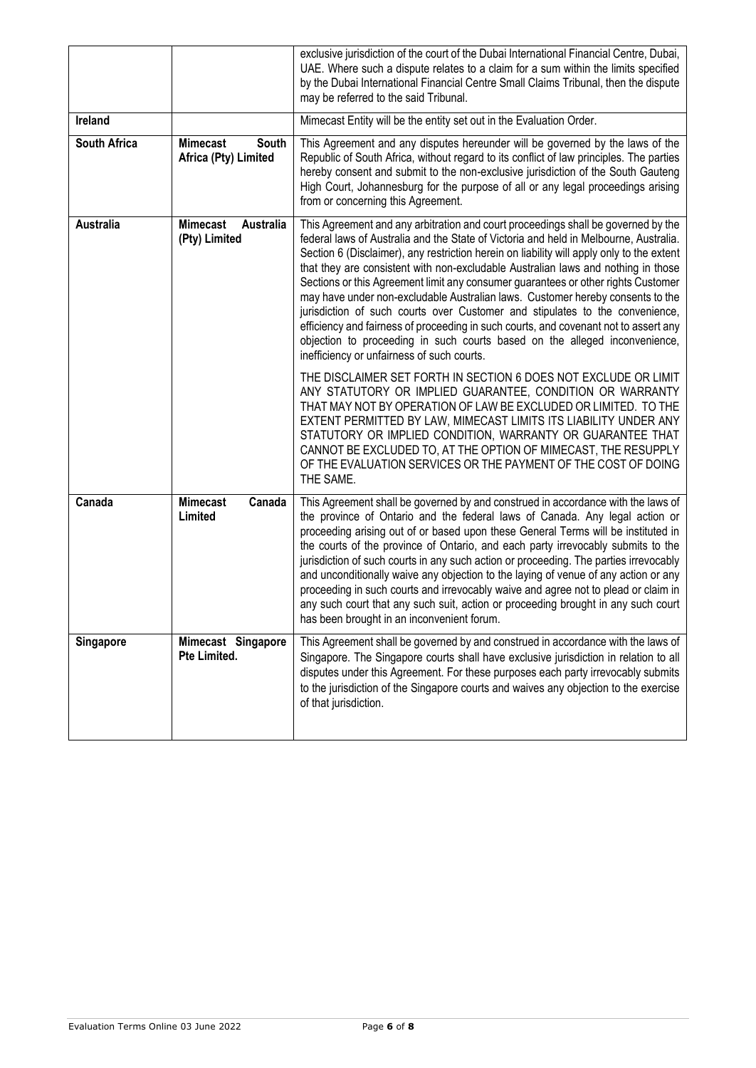|                  |                                                  | exclusive jurisdiction of the court of the Dubai International Financial Centre, Dubai,<br>UAE. Where such a dispute relates to a claim for a sum within the limits specified<br>by the Dubai International Financial Centre Small Claims Tribunal, then the dispute<br>may be referred to the said Tribunal.                                                                                                                                                                                                                                                                                                                                                                                                                                                                                                                                                                                                                                                                                                                                                                                                                                                                |
|------------------|--------------------------------------------------|------------------------------------------------------------------------------------------------------------------------------------------------------------------------------------------------------------------------------------------------------------------------------------------------------------------------------------------------------------------------------------------------------------------------------------------------------------------------------------------------------------------------------------------------------------------------------------------------------------------------------------------------------------------------------------------------------------------------------------------------------------------------------------------------------------------------------------------------------------------------------------------------------------------------------------------------------------------------------------------------------------------------------------------------------------------------------------------------------------------------------------------------------------------------------|
| <b>Ireland</b>   |                                                  | Mimecast Entity will be the entity set out in the Evaluation Order.                                                                                                                                                                                                                                                                                                                                                                                                                                                                                                                                                                                                                                                                                                                                                                                                                                                                                                                                                                                                                                                                                                          |
| South Africa     | <b>Mimecast</b><br>South<br>Africa (Pty) Limited | This Agreement and any disputes hereunder will be governed by the laws of the<br>Republic of South Africa, without regard to its conflict of law principles. The parties<br>hereby consent and submit to the non-exclusive jurisdiction of the South Gauteng<br>High Court, Johannesburg for the purpose of all or any legal proceedings arising<br>from or concerning this Agreement.                                                                                                                                                                                                                                                                                                                                                                                                                                                                                                                                                                                                                                                                                                                                                                                       |
| <b>Australia</b> | <b>Mimecast</b><br>Australia<br>(Pty) Limited    | This Agreement and any arbitration and court proceedings shall be governed by the<br>federal laws of Australia and the State of Victoria and held in Melbourne, Australia.<br>Section 6 (Disclaimer), any restriction herein on liability will apply only to the extent<br>that they are consistent with non-excludable Australian laws and nothing in those<br>Sections or this Agreement limit any consumer guarantees or other rights Customer<br>may have under non-excludable Australian laws. Customer hereby consents to the<br>jurisdiction of such courts over Customer and stipulates to the convenience,<br>efficiency and fairness of proceeding in such courts, and covenant not to assert any<br>objection to proceeding in such courts based on the alleged inconvenience,<br>inefficiency or unfairness of such courts.<br>THE DISCLAIMER SET FORTH IN SECTION 6 DOES NOT EXCLUDE OR LIMIT<br>ANY STATUTORY OR IMPLIED GUARANTEE, CONDITION OR WARRANTY<br>THAT MAY NOT BY OPERATION OF LAW BE EXCLUDED OR LIMITED. TO THE<br>EXTENT PERMITTED BY LAW, MIMECAST LIMITS ITS LIABILITY UNDER ANY<br>STATUTORY OR IMPLIED CONDITION, WARRANTY OR GUARANTEE THAT |
|                  |                                                  | CANNOT BE EXCLUDED TO, AT THE OPTION OF MIMECAST, THE RESUPPLY<br>OF THE EVALUATION SERVICES OR THE PAYMENT OF THE COST OF DOING<br>THE SAME.                                                                                                                                                                                                                                                                                                                                                                                                                                                                                                                                                                                                                                                                                                                                                                                                                                                                                                                                                                                                                                |
| Canada           | <b>Mimecast</b><br>Canada<br>Limited             | This Agreement shall be governed by and construed in accordance with the laws of<br>the province of Ontario and the federal laws of Canada. Any legal action or<br>proceeding arising out of or based upon these General Terms will be instituted in<br>the courts of the province of Ontario, and each party irrevocably submits to the<br>jurisdiction of such courts in any such action or proceeding. The parties irrevocably<br>and unconditionally waive any objection to the laying of venue of any action or any<br>proceeding in such courts and irrevocably waive and agree not to plead or claim in<br>any such court that any such suit, action or proceeding brought in any such court<br>has been brought in an inconvenient forum.                                                                                                                                                                                                                                                                                                                                                                                                                            |
| Singapore        | Mimecast Singapore<br>Pte Limited.               | This Agreement shall be governed by and construed in accordance with the laws of<br>Singapore. The Singapore courts shall have exclusive jurisdiction in relation to all<br>disputes under this Agreement. For these purposes each party irrevocably submits<br>to the jurisdiction of the Singapore courts and waives any objection to the exercise<br>of that jurisdiction.                                                                                                                                                                                                                                                                                                                                                                                                                                                                                                                                                                                                                                                                                                                                                                                                |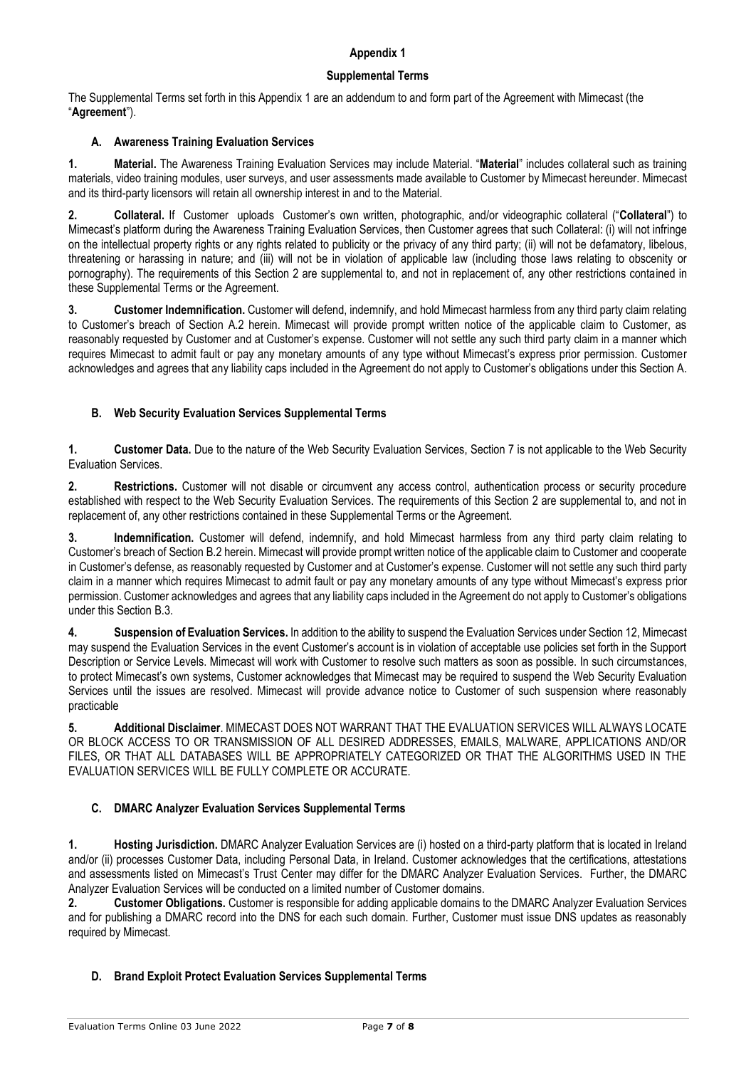### **Appendix 1**

## **Supplemental Terms**

The Supplemental Terms set forth in this Appendix 1 are an addendum to and form part of the Agreement with Mimecast (the "**Agreement**").

## **A. Awareness Training Evaluation Services**

**1. Material.** The Awareness Training Evaluation Services may include Material. "**Material**" includes collateral such as training materials, video training modules, user surveys, and user assessments made available to Customer by Mimecast hereunder. Mimecast and its third-party licensors will retain all ownership interest in and to the Material.

**2. Collateral.** If Customer uploads Customer's own written, photographic, and/or videographic collateral ("**Collateral**") to Mimecast's platform during the Awareness Training Evaluation Services, then Customer agrees that such Collateral: (i) will not infringe on the intellectual property rights or any rights related to publicity or the privacy of any third party; (ii) will not be defamatory, libelous, threatening or harassing in nature; and (iii) will not be in violation of applicable law (including those laws relating to obscenity or pornography). The requirements of this Section 2 are supplemental to, and not in replacement of, any other restrictions contained in these Supplemental Terms or the Agreement.

**3. Customer Indemnification.** Customer will defend, indemnify, and hold Mimecast harmless from any third party claim relating to Customer's breach of Section A.2 herein. Mimecast will provide prompt written notice of the applicable claim to Customer, as reasonably requested by Customer and at Customer's expense. Customer will not settle any such third party claim in a manner which requires Mimecast to admit fault or pay any monetary amounts of any type without Mimecast's express prior permission. Customer acknowledges and agrees that any liability caps included in the Agreement do not apply to Customer's obligations under this Section A.

## **B. Web Security Evaluation Services Supplemental Terms**

**1. Customer Data.** Due to the nature of the Web Security Evaluation Services, Section 7 is not applicable to the Web Security Evaluation Services.

**2. Restrictions.** Customer will not disable or circumvent any access control, authentication process or security procedure established with respect to the Web Security Evaluation Services. The requirements of this Section 2 are supplemental to, and not in replacement of, any other restrictions contained in these Supplemental Terms or the Agreement.

**3. Indemnification.** Customer will defend, indemnify, and hold Mimecast harmless from any third party claim relating to Customer's breach of Section B.2 herein. Mimecast will provide prompt written notice of the applicable claim to Customer and cooperate in Customer's defense, as reasonably requested by Customer and at Customer's expense. Customer will not settle any such third party claim in a manner which requires Mimecast to admit fault or pay any monetary amounts of any type without Mimecast's express prior permission. Customer acknowledges and agrees that any liability caps included in the Agreement do not apply to Customer's obligations under this Section B.3.

**4. Suspension of Evaluation Services.** In addition to the ability to suspend the Evaluation Services under Section 12, Mimecast may suspend the Evaluation Services in the event Customer's account is in violation of acceptable use policies set forth in the Support Description or Service Levels. Mimecast will work with Customer to resolve such matters as soon as possible. In such circumstances, to protect Mimecast's own systems, Customer acknowledges that Mimecast may be required to suspend the Web Security Evaluation Services until the issues are resolved. Mimecast will provide advance notice to Customer of such suspension where reasonably practicable

**5. Additional Disclaimer**. MIMECAST DOES NOT WARRANT THAT THE EVALUATION SERVICES WILL ALWAYS LOCATE OR BLOCK ACCESS TO OR TRANSMISSION OF ALL DESIRED ADDRESSES, EMAILS, MALWARE, APPLICATIONS AND/OR FILES, OR THAT ALL DATABASES WILL BE APPROPRIATELY CATEGORIZED OR THAT THE ALGORITHMS USED IN THE EVALUATION SERVICES WILL BE FULLY COMPLETE OR ACCURATE.

## **C. DMARC Analyzer Evaluation Services Supplemental Terms**

**1. Hosting Jurisdiction.** DMARC Analyzer Evaluation Services are (i) hosted on a third-party platform that is located in Ireland and/or (ii) processes Customer Data, including Personal Data, in Ireland. Customer acknowledges that the certifications, attestations and assessments listed on Mimecast's Trust Center may differ for the DMARC Analyzer Evaluation Services. Further, the DMARC Analyzer Evaluation Services will be conducted on a limited number of Customer domains.

**2. Customer Obligations.** Customer is responsible for adding applicable domains to the DMARC Analyzer Evaluation Services and for publishing a DMARC record into the DNS for each such domain. Further, Customer must issue DNS updates as reasonably required by Mimecast.

## **D. Brand Exploit Protect Evaluation Services Supplemental Terms**